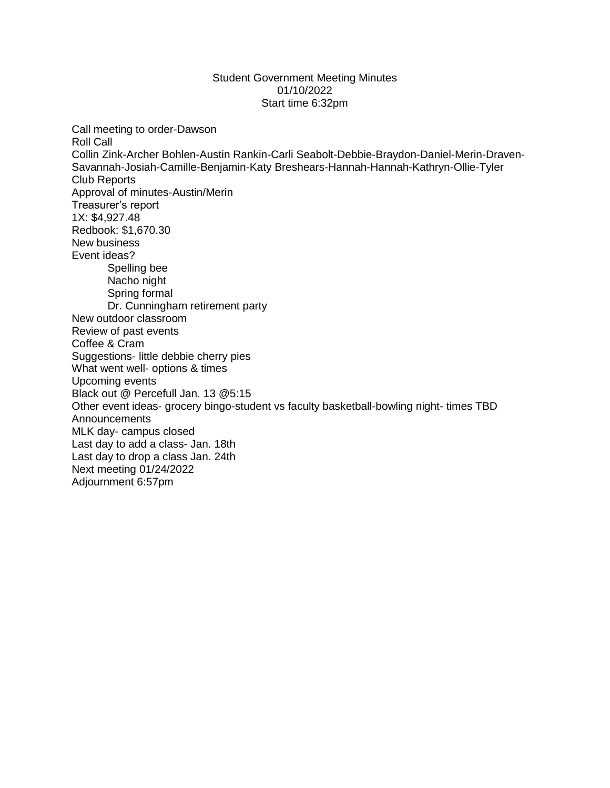## Student Government Meeting Minutes 01/10/2022 Start time 6:32pm

Call meeting to order-Dawson Roll Call Collin Zink-Archer Bohlen-Austin Rankin-Carli Seabolt-Debbie-Braydon-Daniel-Merin-Draven-Savannah-Josiah-Camille-Benjamin-Katy Breshears-Hannah-Hannah-Kathryn-Ollie-Tyler Club Reports Approval of minutes-Austin/Merin Treasurer's report 1X: \$4,927.48 Redbook: \$1,670.30 New business Event ideas? Spelling bee Nacho night Spring formal Dr. Cunningham retirement party New outdoor classroom Review of past events Coffee & Cram Suggestions- little debbie cherry pies What went well- options & times Upcoming events Black out @ Percefull Jan. 13 @5:15 Other event ideas- grocery bingo-student vs faculty basketball-bowling night- times TBD **Announcements** MLK day- campus closed Last day to add a class- Jan. 18th Last day to drop a class Jan. 24th Next meeting 01/24/2022 Adjournment 6:57pm